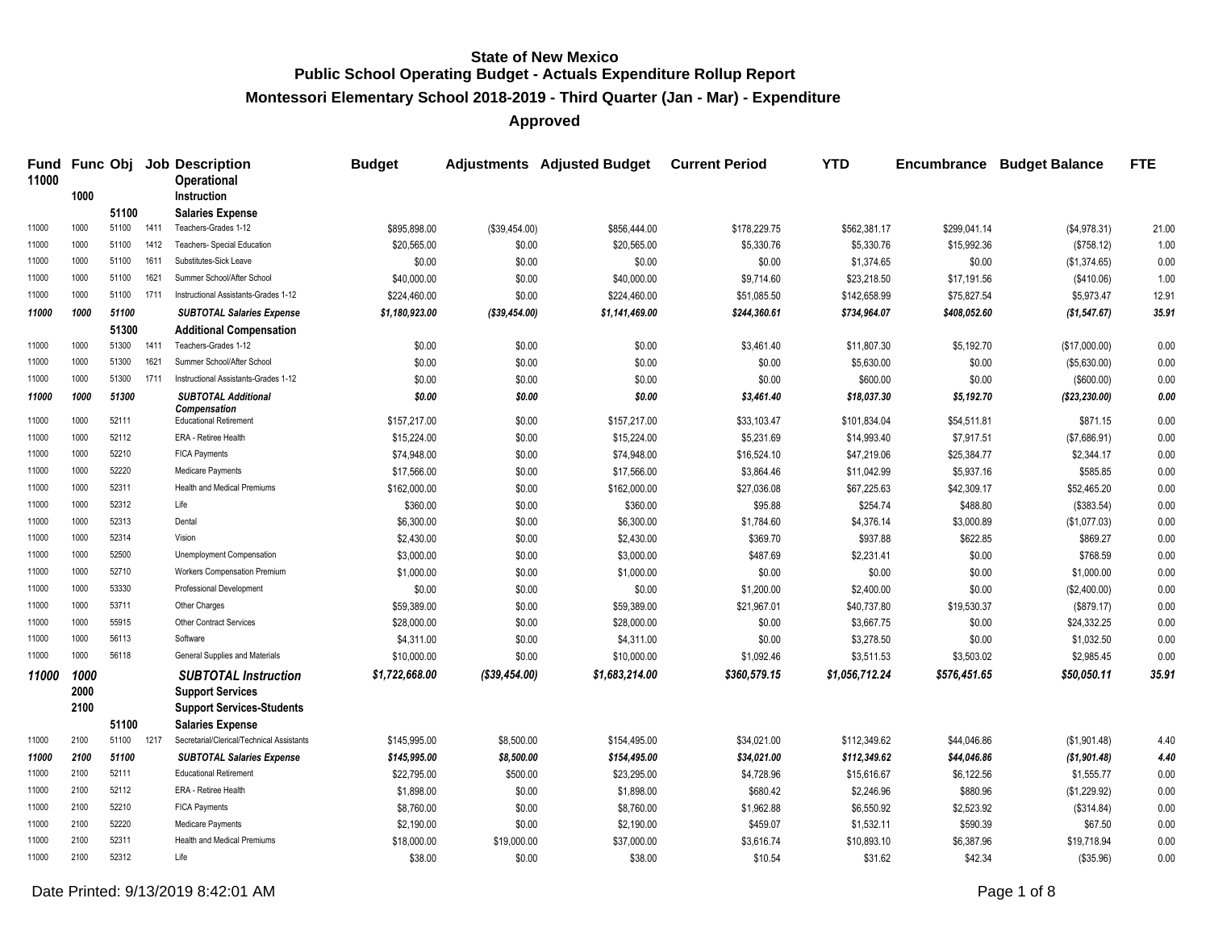**Montessori Elementary School 2018-2019 - Third Quarter (Jan - Mar) - Expenditure**

| Fund<br>11000 |              |       |      | <b>Func Obj Job Description</b><br><b>Operational</b> | <b>Budget</b>  |                | <b>Adjustments</b> Adjusted Budget | <b>Current Period</b> | <b>YTD</b>     | Encumbrance  | <b>Budget Balance</b> | <b>FTE</b> |
|---------------|--------------|-------|------|-------------------------------------------------------|----------------|----------------|------------------------------------|-----------------------|----------------|--------------|-----------------------|------------|
|               | 1000         |       |      | <b>Instruction</b>                                    |                |                |                                    |                       |                |              |                       |            |
|               |              | 51100 |      | <b>Salaries Expense</b>                               |                |                |                                    |                       |                |              |                       |            |
| 11000         | 1000<br>1000 | 51100 | 1411 | Teachers-Grades 1-12<br>Teachers- Special Education   | \$895,898.00   | (\$39,454.00)  | \$856,444.00                       | \$178,229.75          | \$562,381.17   | \$299,041.14 | (\$4,978.31)          | 21.00      |
| 11000         |              | 51100 | 1412 |                                                       | \$20,565.00    | \$0.00         | \$20,565.00                        | \$5,330.76            | \$5,330.76     | \$15,992.36  | (\$758.12)            | 1.00       |
| 11000         | 1000         | 51100 | 1611 | Substitutes-Sick Leave                                | \$0.00         | \$0.00         | \$0.00                             | \$0.00                | \$1,374.65     | \$0.00       | (\$1,374.65)          | 0.00       |
| 11000         | 1000         | 51100 | 1621 | Summer School/After School                            | \$40,000.00    | \$0.00         | \$40,000.00                        | \$9,714.60            | \$23,218.50    | \$17,191.56  | (\$410.06)            | 1.00       |
| 11000         | 1000         | 51100 | 1711 | Instructional Assistants-Grades 1-12                  | \$224,460.00   | \$0.00         | \$224,460.00                       | \$51,085.50           | \$142,658.99   | \$75,827.54  | \$5,973.47            | 12.91      |
| 11000         | 1000         | 51100 |      | <b>SUBTOTAL Salaries Expense</b>                      | \$1,180,923.00 | (\$39,454.00)  | \$1,141,469.00                     | \$244,360.61          | \$734,964.07   | \$408,052.60 | (\$1,547.67)          | 35.91      |
|               |              | 51300 |      | <b>Additional Compensation</b>                        |                |                |                                    |                       |                |              |                       |            |
| 11000         | 1000         | 51300 | 1411 | Teachers-Grades 1-12                                  | \$0.00         | \$0.00         | \$0.00                             | \$3,461.40            | \$11,807.30    | \$5,192.70   | (\$17,000.00)         | 0.00       |
| 11000         | 1000         | 51300 | 1621 | Summer School/After School                            | \$0.00         | \$0.00         | \$0.00                             | \$0.00                | \$5,630.00     | \$0.00       | (\$5,630.00)          | 0.00       |
| 11000         | 1000         | 51300 | 1711 | Instructional Assistants-Grades 1-12                  | \$0.00         | \$0.00         | \$0.00                             | \$0.00                | \$600.00       | \$0.00       | (\$600.00)            | 0.00       |
| 11000         | 1000         | 51300 |      | <b>SUBTOTAL Additional</b><br>Compensation            | \$0.00         | \$0.00         | \$0.00                             | \$3,461.40            | \$18,037.30    | \$5,192.70   | (\$23,230.00)         | 0.00       |
| 11000         | 1000         | 52111 |      | <b>Educational Retirement</b>                         | \$157,217.00   | \$0.00         | \$157,217.00                       | \$33,103.47           | \$101,834.04   | \$54,511.81  | \$871.15              | 0.00       |
| 11000         | 1000         | 52112 |      | ERA - Retiree Health                                  | \$15,224.00    | \$0.00         | \$15,224.00                        | \$5,231.69            | \$14,993.40    | \$7,917.51   | (\$7,686.91)          | 0.00       |
| 11000         | 1000         | 52210 |      | <b>FICA Payments</b>                                  | \$74,948.00    | \$0.00         | \$74,948.00                        | \$16,524.10           | \$47,219.06    | \$25,384.77  | \$2,344.17            | 0.00       |
| 11000         | 1000         | 52220 |      | <b>Medicare Payments</b>                              | \$17,566.00    | \$0.00         | \$17,566.00                        | \$3,864.46            | \$11,042.99    | \$5,937.16   | \$585.85              | 0.00       |
| 11000         | 1000         | 52311 |      | <b>Health and Medical Premiums</b>                    | \$162,000.00   | \$0.00         | \$162,000.00                       | \$27,036.08           | \$67,225.63    | \$42,309.17  | \$52,465.20           | 0.00       |
| 11000         | 1000         | 52312 |      | Life                                                  | \$360.00       | \$0.00         | \$360.00                           | \$95.88               | \$254.74       | \$488.80     | (\$383.54)            | 0.00       |
| 11000         | 1000         | 52313 |      | Dental                                                | \$6,300.00     | \$0.00         | \$6,300.00                         | \$1,784.60            | \$4,376.14     | \$3,000.89   | (\$1,077.03)          | 0.00       |
| 11000         | 1000         | 52314 |      | Vision                                                | \$2,430.00     | \$0.00         | \$2,430.00                         | \$369.70              | \$937.88       | \$622.85     | \$869.27              | 0.00       |
| 11000         | 1000         | 52500 |      | Unemployment Compensation                             | \$3,000.00     | \$0.00         | \$3,000.00                         | \$487.69              | \$2,231.41     | \$0.00       | \$768.59              | 0.00       |
| 11000         | 1000         | 52710 |      | <b>Workers Compensation Premium</b>                   | \$1,000.00     | \$0.00         | \$1,000.00                         | \$0.00                | \$0.00         | \$0.00       | \$1,000.00            | 0.00       |
| 11000         | 1000         | 53330 |      | <b>Professional Development</b>                       | \$0.00         | \$0.00         | \$0.00                             | \$1,200.00            | \$2,400.00     | \$0.00       | (\$2,400.00)          | 0.00       |
| 11000         | 1000         | 53711 |      | Other Charges                                         | \$59,389.00    | \$0.00         | \$59,389.00                        | \$21,967.01           | \$40,737.80    | \$19,530.37  | (\$879.17)            | 0.00       |
| 11000         | 1000         | 55915 |      | <b>Other Contract Services</b>                        | \$28,000.00    | \$0.00         | \$28,000.00                        | \$0.00                | \$3,667.75     | \$0.00       | \$24,332.25           | 0.00       |
| 11000         | 1000         | 56113 |      | Software                                              | \$4,311.00     | \$0.00         | \$4,311.00                         | \$0.00                | \$3,278.50     | \$0.00       | \$1,032.50            | 0.00       |
| 11000         | 1000         | 56118 |      | General Supplies and Materials                        | \$10,000.00    | \$0.00         | \$10,000.00                        | \$1,092.46            | \$3,511.53     | \$3,503.02   | \$2,985.45            | 0.00       |
| 11000         | 1000         |       |      | <b>SUBTOTAL Instruction</b>                           | \$1,722,668.00 | ( \$39,454.00) | \$1,683,214.00                     | \$360,579.15          | \$1,056,712.24 | \$576,451.65 | \$50,050.11           | 35.91      |
|               | 2000         |       |      | <b>Support Services</b>                               |                |                |                                    |                       |                |              |                       |            |
|               | 2100         |       |      | <b>Support Services-Students</b>                      |                |                |                                    |                       |                |              |                       |            |
|               |              | 51100 |      | <b>Salaries Expense</b>                               |                |                |                                    |                       |                |              |                       |            |
| 11000         | 2100         | 51100 | 1217 | Secretarial/Clerical/Technical Assistants             | \$145,995.00   | \$8,500.00     | \$154,495.00                       | \$34.021.00           | \$112,349.62   | \$44,046.86  | (\$1,901.48)          | 4.40       |
| 11000         | 2100         | 51100 |      | <b>SUBTOTAL Salaries Expense</b>                      | \$145,995.00   | \$8,500.00     | \$154,495.00                       | \$34,021.00           | \$112,349.62   | \$44,046.86  | ( \$1,901.48)         | 4.40       |
| 11000         | 2100         | 52111 |      | <b>Educational Retirement</b>                         | \$22,795.00    | \$500.00       | \$23,295.00                        | \$4,728.96            | \$15,616.67    | \$6,122.56   | \$1,555.77            | 0.00       |
| 11000         | 2100         | 52112 |      | ERA - Retiree Health                                  | \$1,898.00     | \$0.00         | \$1,898.00                         | \$680.42              | \$2,246.96     | \$880.96     | (\$1,229.92)          | 0.00       |
| 11000         | 2100         | 52210 |      | <b>FICA Payments</b>                                  | \$8,760.00     | \$0.00         | \$8,760.00                         | \$1,962.88            | \$6,550.92     | \$2,523.92   | (\$314.84)            | 0.00       |
| 11000         | 2100         | 52220 |      | <b>Medicare Payments</b>                              | \$2,190.00     | \$0.00         | \$2,190.00                         | \$459.07              | \$1,532.11     | \$590.39     | \$67.50               | 0.00       |
| 11000         | 2100         | 52311 |      | <b>Health and Medical Premiums</b>                    | \$18,000.00    | \$19,000.00    | \$37,000.00                        | \$3,616.74            | \$10,893.10    | \$6,387.96   | \$19,718.94           | 0.00       |
| 11000         | 2100         | 52312 |      | Life                                                  | \$38.00        | \$0.00         | \$38.00                            | \$10.54               | \$31.62        | \$42.34      | (\$35.96)             | 0.00       |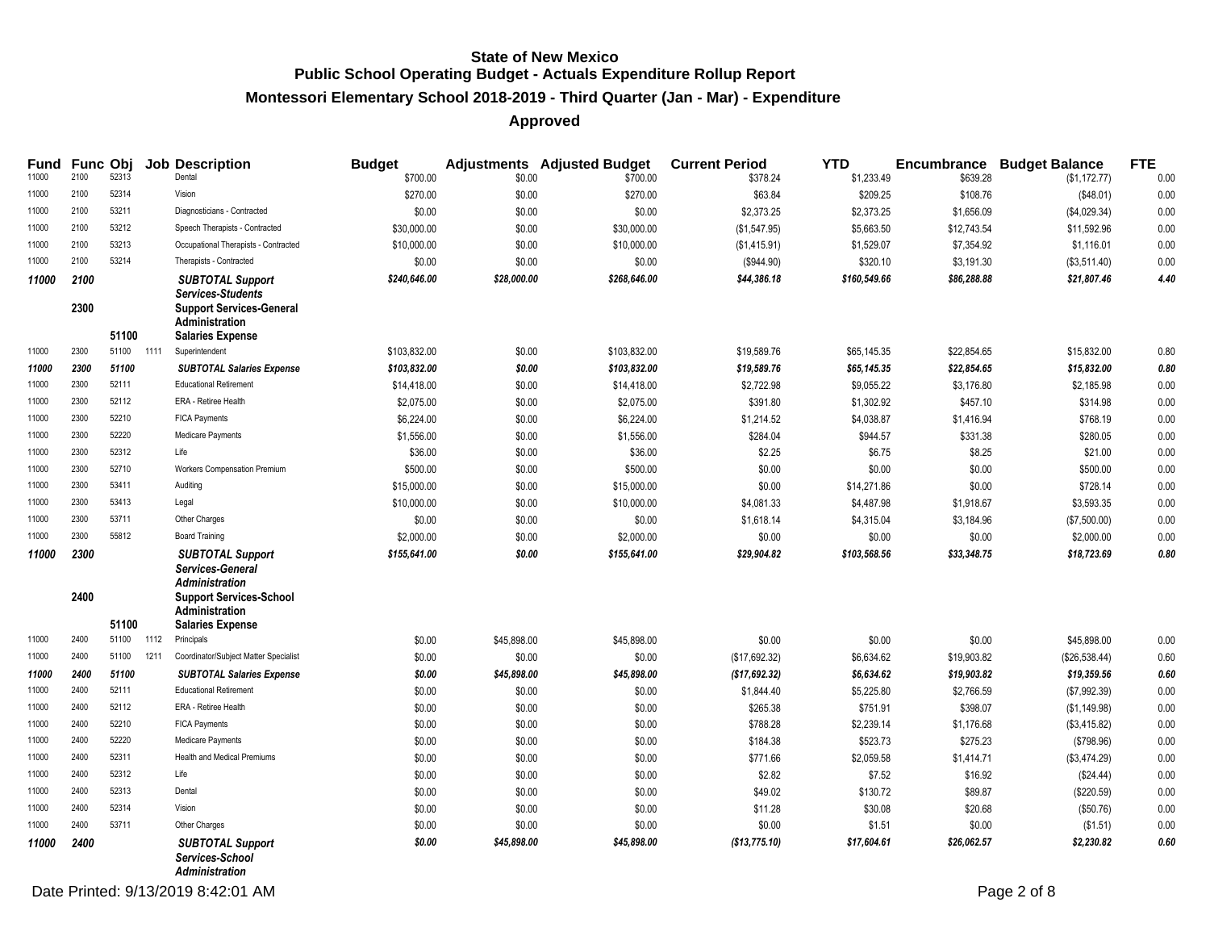#### **Montessori Elementary School 2018-2019 - Third Quarter (Jan - Mar) - Expenditure**

|       |              |       |      | Fund Func Obj Job Description                                                                                                              | <b>Budget</b> |             | <b>Adjustments</b> Adjusted Budget | <b>Current Period</b> | <b>YTD</b>   |             | <b>Encumbrance Budget Balance</b> | <b>FTE</b> |
|-------|--------------|-------|------|--------------------------------------------------------------------------------------------------------------------------------------------|---------------|-------------|------------------------------------|-----------------------|--------------|-------------|-----------------------------------|------------|
| 11000 | 2100         | 52313 |      | Dental                                                                                                                                     | \$700.00      | \$0.00      | \$700.00                           | \$378.24              | \$1,233.49   | \$639.28    | (\$1,172.77)                      | 0.00       |
| 11000 | 2100         | 52314 |      | Vision                                                                                                                                     | \$270.00      | \$0.00      | \$270.00                           | \$63.84               | \$209.25     | \$108.76    | (\$48.01)                         | 0.00       |
| 11000 | 2100         | 53211 |      | Diagnosticians - Contracted                                                                                                                | \$0.00        | \$0.00      | \$0.00                             | \$2,373.25            | \$2,373.25   | \$1,656.09  | (\$4,029.34)                      | 0.00       |
| 11000 | 2100         | 53212 |      | Speech Therapists - Contracted                                                                                                             | \$30,000.00   | \$0.00      | \$30,000.00                        | (\$1,547.95)          | \$5,663.50   | \$12,743.54 | \$11,592.96                       | 0.00       |
| 11000 | 2100         | 53213 |      | Occupational Therapists - Contracted                                                                                                       | \$10,000.00   | \$0.00      | \$10,000.00                        | (\$1,415.91)          | \$1,529.07   | \$7,354.92  | \$1,116.01                        | 0.00       |
| 11000 | 2100         | 53214 |      | Therapists - Contracted                                                                                                                    | \$0.00        | \$0.00      | \$0.00                             | (\$944.90)            | \$320.10     | \$3,191.30  | (\$3,511.40)                      | 0.00       |
| 11000 | 2100<br>2300 | 51100 |      | <b>SUBTOTAL Support</b><br><b>Services-Students</b><br><b>Support Services-General</b><br><b>Administration</b><br><b>Salaries Expense</b> | \$240.646.00  | \$28,000.00 | \$268,646.00                       | \$44,386.18           | \$160,549.66 | \$86,288.88 | \$21,807.46                       | 4.40       |
| 11000 | 2300         | 51100 | 1111 | Superintendent                                                                                                                             | \$103,832.00  | \$0.00      | \$103,832.00                       | \$19,589.76           | \$65,145.35  | \$22,854.65 | \$15,832.00                       | 0.80       |
| 11000 | 2300         | 51100 |      | <b>SUBTOTAL Salaries Expense</b>                                                                                                           | \$103,832.00  | \$0.00      | \$103,832.00                       | \$19,589.76           | \$65,145.35  | \$22,854.65 | \$15,832.00                       | 0.80       |
| 11000 | 2300         | 52111 |      | <b>Educational Retirement</b>                                                                                                              | \$14,418.00   | \$0.00      | \$14,418.00                        | \$2,722.98            | \$9,055.22   | \$3,176.80  | \$2,185.98                        | 0.00       |
| 11000 | 2300         | 52112 |      | ERA - Retiree Health                                                                                                                       | \$2,075.00    | \$0.00      | \$2,075.00                         | \$391.80              | \$1,302.92   | \$457.10    | \$314.98                          | 0.00       |
| 11000 | 2300         | 52210 |      | <b>FICA Payments</b>                                                                                                                       | \$6,224.00    | \$0.00      | \$6,224.00                         | \$1,214.52            | \$4,038.87   | \$1,416.94  | \$768.19                          | 0.00       |
| 11000 | 2300         | 52220 |      | Medicare Payments                                                                                                                          | \$1,556.00    | \$0.00      | \$1,556.00                         | \$284.04              | \$944.57     | \$331.38    | \$280.05                          | 0.00       |
| 11000 | 2300         | 52312 |      | Life                                                                                                                                       | \$36.00       | \$0.00      | \$36.00                            | \$2.25                | \$6.75       | \$8.25      | \$21.00                           | 0.00       |
| 11000 | 2300         | 52710 |      | Workers Compensation Premium                                                                                                               | \$500.00      | \$0.00      | \$500.00                           | \$0.00                | \$0.00       | \$0.00      | \$500.00                          | 0.00       |
| 11000 | 2300         | 53411 |      | Auditing                                                                                                                                   | \$15,000.00   | \$0.00      | \$15,000.00                        | \$0.00                | \$14,271.86  | \$0.00      | \$728.14                          | 0.00       |
| 11000 | 2300         | 53413 |      | Legal                                                                                                                                      | \$10,000.00   | \$0.00      | \$10,000.00                        | \$4,081.33            | \$4,487.98   | \$1,918.67  | \$3,593.35                        | 0.00       |
| 11000 | 2300         | 53711 |      | Other Charges                                                                                                                              | \$0.00        | \$0.00      | \$0.00                             | \$1,618.14            | \$4,315.04   | \$3,184.96  | (\$7,500.00)                      | 0.00       |
| 11000 | 2300         | 55812 |      | <b>Board Training</b>                                                                                                                      | \$2,000.00    | \$0.00      | \$2,000.00                         | \$0.00                | \$0.00       | \$0.00      | \$2,000.00                        | 0.00       |
| 11000 | 2300<br>2400 |       |      | <b>SUBTOTAL Support</b><br>Services-General<br><b>Administration</b><br><b>Support Services-School</b><br><b>Administration</b>            | \$155,641.00  | \$0.00      | \$155,641.00                       | \$29,904.82           | \$103,568.56 | \$33,348.75 | \$18,723.69                       | 0.80       |
|       |              | 51100 |      | <b>Salaries Expense</b>                                                                                                                    |               |             |                                    |                       |              |             |                                   |            |
| 11000 | 2400         | 51100 | 1112 | Principals                                                                                                                                 | \$0.00        | \$45,898.00 | \$45,898.00                        | \$0.00                | \$0.00       | \$0.00      | \$45,898.00                       | 0.00       |
| 11000 | 2400         | 51100 | 1211 | Coordinator/Subject Matter Specialist                                                                                                      | \$0.00        | \$0.00      | \$0.00                             | (\$17,692.32)         | \$6,634.62   | \$19,903.82 | (\$26,538.44)                     | 0.60       |
| 11000 | 2400         | 51100 |      | <b>SUBTOTAL Salaries Expense</b>                                                                                                           | \$0.00        | \$45,898.00 | \$45,898.00                        | (\$17,692.32)         | \$6,634.62   | \$19,903.82 | \$19,359.56                       | 0.60       |
| 11000 | 2400         | 52111 |      | <b>Educational Retirement</b>                                                                                                              | \$0.00        | \$0.00      | \$0.00                             | \$1,844.40            | \$5,225.80   | \$2,766.59  | (\$7,992.39)                      | 0.00       |
| 11000 | 2400         | 52112 |      | ERA - Retiree Health                                                                                                                       | \$0.00        | \$0.00      | \$0.00                             | \$265.38              | \$751.91     | \$398.07    | (\$1,149.98)                      | 0.00       |
| 11000 | 2400         | 52210 |      | <b>FICA Payments</b>                                                                                                                       | \$0.00        | \$0.00      | \$0.00                             | \$788.28              | \$2,239.14   | \$1,176.68  | (\$3,415.82)                      | 0.00       |
| 11000 | 2400         | 52220 |      | Medicare Payments                                                                                                                          | \$0.00        | \$0.00      | \$0.00                             | \$184.38              | \$523.73     | \$275.23    | (\$798.96)                        | 0.00       |
| 11000 | 2400         | 52311 |      | Health and Medical Premiums                                                                                                                | \$0.00        | \$0.00      | \$0.00                             | \$771.66              | \$2,059.58   | \$1,414.71  | (\$3,474.29)                      | 0.00       |
| 11000 | 2400         | 52312 |      | Life                                                                                                                                       | \$0.00        | \$0.00      | \$0.00                             | \$2.82                | \$7.52       | \$16.92     | (\$24.44)                         | 0.00       |
| 11000 | 2400         | 52313 |      | Dental                                                                                                                                     | \$0.00        | \$0.00      | \$0.00                             | \$49.02               | \$130.72     | \$89.87     | (\$220.59)                        | 0.00       |
| 11000 | 2400         | 52314 |      | Vision                                                                                                                                     | \$0.00        | \$0.00      | \$0.00                             | \$11.28               | \$30.08      | \$20.68     | (\$50.76)                         | 0.00       |
| 11000 | 2400         | 53711 |      | Other Charges                                                                                                                              | \$0.00        | \$0.00      | \$0.00                             | \$0.00                | \$1.51       | \$0.00      | (\$1.51)                          | 0.00       |
| 11000 | 2400         |       |      | <b>SUBTOTAL Support</b><br>Services-School<br>Administration                                                                               | \$0.00        | \$45,898.00 | \$45,898.00                        | (\$13,775.10)         | \$17,604.61  | \$26,062.57 | \$2,230.82                        | 0.60       |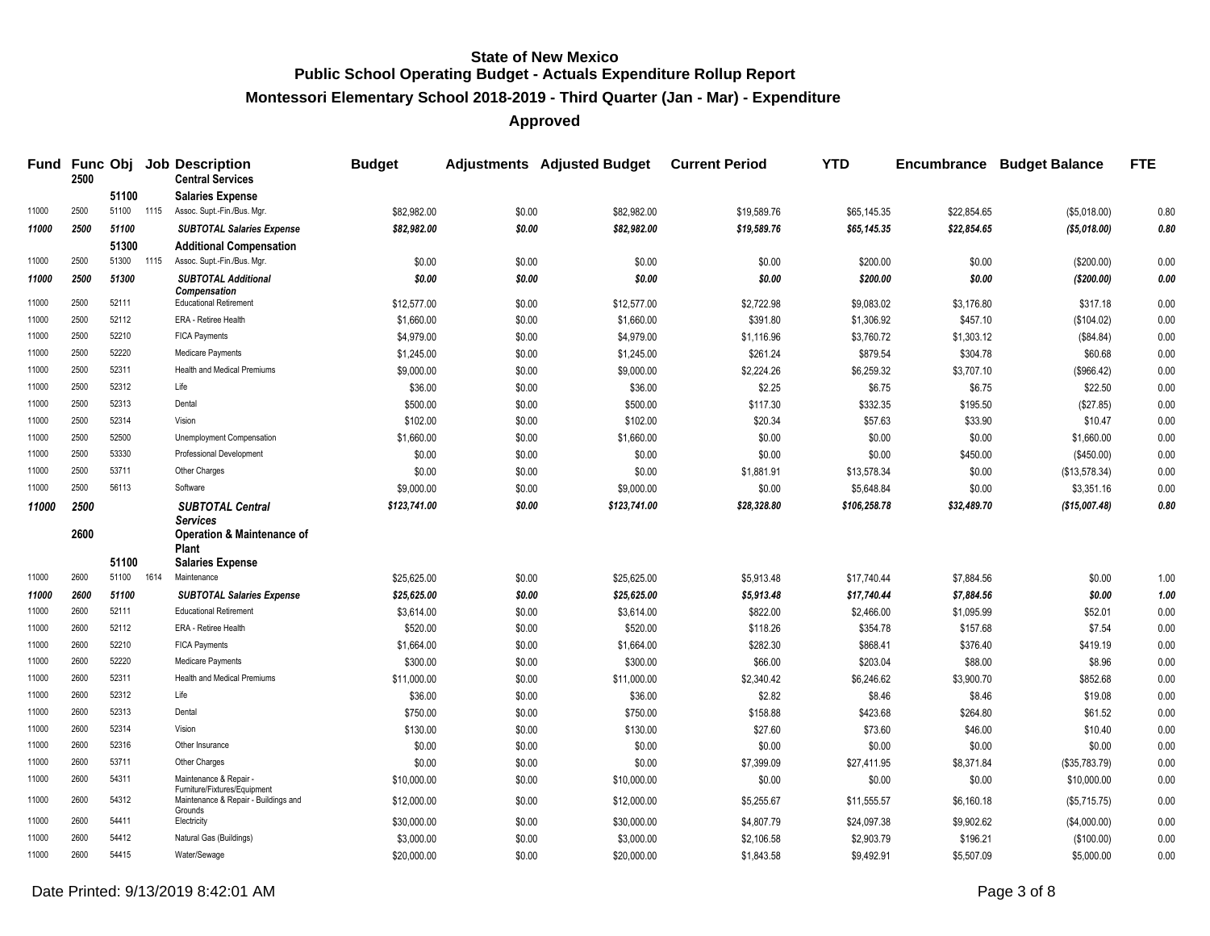**Montessori Elementary School 2018-2019 - Third Quarter (Jan - Mar) - Expenditure**

|                | 2500         |                | Fund Func Obj Job Description<br><b>Central Services</b>                 | <b>Budget</b>       |                  | <b>Adjustments Adjusted Budget</b> | <b>Current Period</b> | <b>YTD</b>         | <b>Encumbrance</b> | <b>Budget Balance</b> | <b>FTE</b>   |
|----------------|--------------|----------------|--------------------------------------------------------------------------|---------------------|------------------|------------------------------------|-----------------------|--------------------|--------------------|-----------------------|--------------|
|                |              | 51100          | <b>Salaries Expense</b>                                                  |                     |                  |                                    |                       |                    |                    |                       |              |
| 11000          | 2500         | 51100 1115     | Assoc. Supt.-Fin./Bus. Mgr.                                              | \$82,982.00         | \$0.00           | \$82.982.00                        | \$19,589.76           | \$65,145,35        | \$22,854.65        | (\$5,018.00)          | 0.80         |
| 11000          | 2500         | 51100          | <b>SUBTOTAL Salaries Expense</b>                                         | \$82,982.00         | \$0.00           | \$82,982.00                        | \$19,589.76           | \$65,145.35        | \$22,854.65        | ( \$5,018.00)         | 0.80         |
|                |              | 51300          | <b>Additional Compensation</b>                                           |                     |                  |                                    |                       |                    |                    |                       |              |
| 11000          | 2500         | 51300 1115     | Assoc. Supt.-Fin./Bus. Mgr.                                              | \$0.00              | \$0.00           | \$0.00                             | \$0.00                | \$200.00           | \$0.00             | (\$200.00)            | 0.00         |
| 11000          | 2500         | 51300          | <b>SUBTOTAL Additional</b>                                               | \$0.00              | \$0.00           | \$0.00                             | \$0.00                | \$200.00           | \$0.00             | (\$200.00)            | 0.00         |
| 11000          | 2500         | 52111          | <b>Compensation</b><br><b>Educational Retirement</b>                     | \$12,577.00         | \$0.00           | \$12,577.00                        | \$2,722.98            | \$9,083.02         | \$3,176.80         | \$317.18              | 0.00         |
| 11000          | 2500         | 52112          | ERA - Retiree Health                                                     | \$1,660.00          | \$0.00           | \$1,660.00                         | \$391.80              | \$1,306.92         | \$457.10           | (\$104.02)            | 0.00         |
| 11000          | 2500         | 52210          | <b>FICA Payments</b>                                                     | \$4,979.00          | \$0.00           | \$4,979.00                         | \$1,116.96            | \$3,760.72         | \$1,303.12         | (\$84.84)             | 0.00         |
| 11000          | 2500         | 52220          | Medicare Payments                                                        | \$1,245.00          | \$0.00           | \$1,245.00                         | \$261.24              | \$879.54           | \$304.78           | \$60.68               | 0.00         |
| 11000          | 2500         | 52311          | Health and Medical Premiums                                              | \$9,000.00          | \$0.00           | \$9,000.00                         | \$2,224.26            | \$6,259.32         | \$3,707.10         | (\$966.42)            | 0.00         |
| 11000          | 2500         | 52312          | Life                                                                     | \$36.00             | \$0.00           | \$36.00                            | \$2.25                | \$6.75             | \$6.75             | \$22.50               | 0.00         |
| 11000          | 2500         | 52313          | Dental                                                                   | \$500.00            | \$0.00           | \$500.00                           | \$117.30              | \$332.35           | \$195.50           | (\$27.85)             | 0.00         |
| 11000          | 2500         | 52314          | Vision                                                                   | \$102.00            | \$0.00           | \$102.00                           | \$20.34               | \$57.63            | \$33.90            | \$10.47               | 0.00         |
| 11000          | 2500         | 52500          | Unemployment Compensation                                                | \$1,660.00          | \$0.00           | \$1,660.00                         | \$0.00                | \$0.00             | \$0.00             | \$1,660.00            | 0.00         |
| 11000          | 2500         | 53330          | Professional Development                                                 | \$0.00              | \$0.00           | \$0.00                             | \$0.00                | \$0.00             | \$450.00           | (\$450.00)            | 0.00         |
| 11000          | 2500         | 53711          | Other Charges                                                            | \$0.00              | \$0.00           | \$0.00                             | \$1,881.91            | \$13,578.34        | \$0.00             | (\$13,578.34)         | 0.00         |
| 11000          | 2500         | 56113          | Software                                                                 | \$9,000.00          | \$0.00           | \$9,000.00                         | \$0.00                | \$5,648.84         | \$0.00             | \$3,351.16            | 0.00         |
| 11000          | 2500         |                | <b>SUBTOTAL Central</b>                                                  | \$123,741.00        | \$0.00           | \$123,741.00                       | \$28,328.80           | \$106,258.78       | \$32,489.70        | (\$15,007.48)         | 0.80         |
|                | 2600         |                | <b>Services</b><br><b>Operation &amp; Maintenance of</b><br><b>Plant</b> |                     |                  |                                    |                       |                    |                    |                       |              |
|                |              | 51100          | <b>Salaries Expense</b>                                                  |                     |                  |                                    |                       |                    |                    |                       |              |
| 11000          | 2600         | 51100 1614     | Maintenance                                                              | \$25,625.00         | \$0.00           | \$25,625.00                        | \$5,913.48            | \$17,740.44        | \$7,884.56         | \$0.00                | 1.00         |
| 11000          | 2600         | 51100          | <b>SUBTOTAL Salaries Expense</b>                                         | \$25,625.00         | \$0.00           | \$25,625.00                        | \$5,913.48            | \$17,740.44        | \$7,884.56         | \$0.00                | 1.00         |
| 11000          | 2600         | 52111          | <b>Educational Retirement</b>                                            | \$3,614.00          | \$0.00           | \$3,614.00                         | \$822.00              | \$2,466.00         | \$1,095.99         | \$52.01               | 0.00         |
| 11000          | 2600         | 52112          | ERA - Retiree Health                                                     | \$520.00            | \$0.00           | \$520.00                           | \$118.26              | \$354.78           | \$157.68           | \$7.54                | 0.00         |
| 11000          | 2600         | 52210          | <b>FICA Payments</b>                                                     | \$1,664.00          | \$0.00           | \$1,664.00                         | \$282.30              | \$868.41           | \$376.40           | \$419.19              | 0.00         |
| 11000          | 2600<br>2600 | 52220<br>52311 | Medicare Payments<br>Health and Medical Premiums                         | \$300.00            | \$0.00           | \$300.00                           | \$66.00               | \$203.04           | \$88.00            | \$8.96                | 0.00         |
| 11000          | 2600         | 52312          | Life                                                                     | \$11,000.00         | \$0.00           | \$11,000.00                        | \$2,340.42            | \$6,246.62         | \$3,900.70         | \$852.68              | 0.00         |
| 11000<br>11000 | 2600         | 52313          | Dental                                                                   | \$36.00<br>\$750.00 | \$0.00<br>\$0.00 | \$36.00<br>\$750.00                | \$2.82<br>\$158.88    | \$8.46<br>\$423.68 | \$8.46<br>\$264.80 | \$19.08<br>\$61.52    | 0.00<br>0.00 |
| 11000          | 2600         | 52314          | Vision                                                                   |                     |                  |                                    |                       |                    |                    |                       | 0.00         |
| 11000          | 2600         | 52316          | Other Insurance                                                          | \$130.00<br>\$0.00  | \$0.00<br>\$0.00 | \$130.00<br>\$0.00                 | \$27.60<br>\$0.00     | \$73.60<br>\$0.00  | \$46.00<br>\$0.00  | \$10.40<br>\$0.00     | 0.00         |
| 11000          | 2600         | 53711          | Other Charges                                                            | \$0.00              | \$0.00           | \$0.00                             | \$7,399.09            | \$27,411.95        | \$8,371.84         | (\$35,783.79)         | 0.00         |
| 11000          | 2600         | 54311          | Maintenance & Repair -                                                   |                     | \$0.00           |                                    | \$0.00                |                    | \$0.00             | \$10,000.00           | 0.00         |
|                |              |                | Furniture/Fixtures/Equipment                                             | \$10,000.00         |                  | \$10,000.00                        |                       | \$0.00             |                    |                       |              |
| 11000          | 2600         | 54312          | Maintenance & Repair - Buildings and<br>Grounds                          | \$12,000.00         | \$0.00           | \$12,000.00                        | \$5,255.67            | \$11,555.57        | \$6,160.18         | (\$5,715.75)          | 0.00         |
| 11000          | 2600         | 54411          | Electricity                                                              | \$30,000.00         | \$0.00           | \$30,000.00                        | \$4,807.79            | \$24,097.38        | \$9,902.62         | (\$4,000.00)          | 0.00         |
| 11000          | 2600         | 54412          | Natural Gas (Buildings)                                                  | \$3,000.00          | \$0.00           | \$3,000.00                         | \$2,106.58            | \$2,903.79         | \$196.21           | (\$100.00)            | 0.00         |
| 11000          | 2600         | 54415          | Water/Sewage                                                             | \$20.000.00         | \$0.00           | \$20.000.00                        | \$1.843.58            | \$9.492.91         | \$5,507.09         | \$5,000.00            | 0.00         |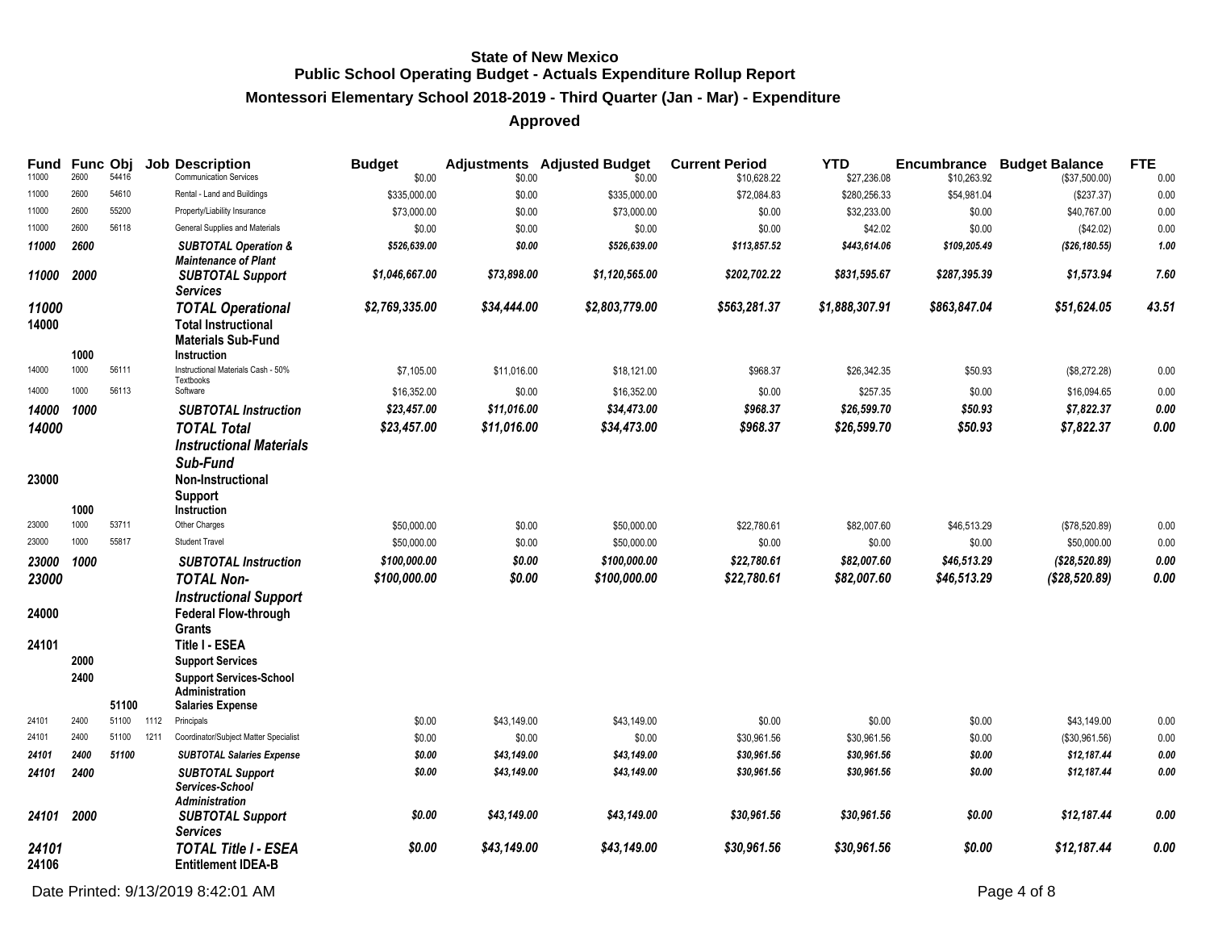# **Montessori Elementary School 2018-2019 - Third Quarter (Jan - Mar) - Expenditure**

| Fund<br>11000 | <b>Func Obj</b><br>2600 | 54416 |      | <b>Job Description</b><br><b>Communication Services</b> | <b>Budget</b><br>\$0.00 | \$0.00      | <b>Adjustments</b> Adjusted Budget<br>\$0.00 | <b>Current Period</b><br>\$10.628.22 | <b>YTD</b><br>\$27,236.08 | Encumbrance<br>\$10,263.92 | <b>Budget Balance</b><br>(\$37,500.00) | <b>FTE</b><br>0.00 |
|---------------|-------------------------|-------|------|---------------------------------------------------------|-------------------------|-------------|----------------------------------------------|--------------------------------------|---------------------------|----------------------------|----------------------------------------|--------------------|
| 11000         | 2600                    | 54610 |      | Rental - Land and Buildings                             | \$335,000.00            | \$0.00      | \$335,000.00                                 | \$72,084.83                          | \$280,256.33              | \$54,981.04                | (\$237.37)                             | 0.00               |
| 11000         | 2600                    | 55200 |      | Property/Liability Insurance                            | \$73,000.00             | \$0.00      | \$73,000.00                                  | \$0.00                               | \$32,233.00               | \$0.00                     | \$40,767.00                            | 0.00               |
| 11000         | 2600                    | 56118 |      | General Supplies and Materials                          | \$0.00                  | \$0.00      | \$0.00                                       | \$0.00                               | \$42.02                   | \$0.00                     | (\$42.02)                              | 0.00               |
| 11000         | 2600                    |       |      | <b>SUBTOTAL Operation &amp;</b>                         | \$526,639.00            | \$0.00      | \$526,639.00                                 | \$113,857.52                         | \$443,614.06              | \$109,205.49               | (\$26,180.55)                          | 1.00               |
|               |                         |       |      | <b>Maintenance of Plant</b>                             |                         |             |                                              |                                      |                           |                            |                                        |                    |
| 11000         | 2000                    |       |      | <b>SUBTOTAL Support</b><br><b>Services</b>              | \$1,046,667.00          | \$73,898.00 | \$1,120,565.00                               | \$202,702.22                         | \$831,595.67              | \$287,395.39               | \$1,573.94                             | 7.60               |
| 11000         |                         |       |      | <b>TOTAL Operational</b>                                | \$2,769,335.00          | \$34,444.00 | \$2,803,779.00                               | \$563,281.37                         | \$1,888,307.91            | \$863,847.04               | \$51,624.05                            | 43.51              |
| 14000         |                         |       |      | <b>Total Instructional</b>                              |                         |             |                                              |                                      |                           |                            |                                        |                    |
|               |                         |       |      | <b>Materials Sub-Fund</b>                               |                         |             |                                              |                                      |                           |                            |                                        |                    |
|               | 1000                    |       |      | <b>Instruction</b>                                      |                         |             |                                              |                                      |                           |                            |                                        |                    |
| 14000         | 1000                    | 56111 |      | Instructional Materials Cash - 50%                      | \$7,105.00              | \$11,016.00 | \$18,121.00                                  | \$968.37                             | \$26,342.35               | \$50.93                    | (\$8,272.28)                           | 0.00               |
| 14000         | 1000                    | 56113 |      | Textbooks<br>Software                                   | \$16,352.00             | \$0.00      | \$16,352.00                                  | \$0.00                               | \$257.35                  | \$0.00                     | \$16,094.65                            | 0.00               |
| 14000         | 1000                    |       |      | <b>SUBTOTAL Instruction</b>                             | \$23,457.00             | \$11,016.00 | \$34,473.00                                  | \$968.37                             | \$26,599.70               | \$50.93                    | \$7,822.37                             | $0.00\,$           |
| 14000         |                         |       |      | <b>TOTAL Total</b>                                      | \$23,457.00             | \$11,016.00 | \$34,473.00                                  | \$968.37                             | \$26,599.70               | \$50.93                    | \$7,822.37                             | 0.00               |
|               |                         |       |      | <b>Instructional Materials</b>                          |                         |             |                                              |                                      |                           |                            |                                        |                    |
|               |                         |       |      | Sub-Fund                                                |                         |             |                                              |                                      |                           |                            |                                        |                    |
| 23000         |                         |       |      | <b>Non-Instructional</b>                                |                         |             |                                              |                                      |                           |                            |                                        |                    |
|               |                         |       |      | Support                                                 |                         |             |                                              |                                      |                           |                            |                                        |                    |
|               | 1000                    |       |      | Instruction                                             |                         |             |                                              |                                      |                           |                            |                                        |                    |
| 23000         | 1000                    | 53711 |      | Other Charges                                           | \$50,000.00             | \$0.00      | \$50,000.00                                  | \$22,780.61                          | \$82,007.60               | \$46,513.29                | (\$78,520.89)                          | 0.00               |
| 23000         | 1000                    | 55817 |      | <b>Student Travel</b>                                   | \$50,000.00             | \$0.00      | \$50,000.00                                  | \$0.00                               | \$0.00                    | \$0.00                     | \$50,000.00                            | 0.00               |
| 23000         | 1000                    |       |      | <b>SUBTOTAL Instruction</b>                             | \$100.000.00            | \$0.00      | \$100,000.00                                 | \$22,780.61                          | \$82,007.60               | \$46,513.29                | (\$28,520.89)                          | $0.00\,$           |
| 23000         |                         |       |      | <b>TOTAL Non-</b>                                       | \$100,000.00            | \$0.00      | \$100,000.00                                 | \$22,780.61                          | \$82,007.60               | \$46,513.29                | (\$28,520.89)                          | 0.00               |
|               |                         |       |      | <b>Instructional Support</b>                            |                         |             |                                              |                                      |                           |                            |                                        |                    |
| 24000         |                         |       |      | <b>Federal Flow-through</b>                             |                         |             |                                              |                                      |                           |                            |                                        |                    |
|               |                         |       |      | <b>Grants</b>                                           |                         |             |                                              |                                      |                           |                            |                                        |                    |
| 24101         |                         |       |      | Title I - ESEA                                          |                         |             |                                              |                                      |                           |                            |                                        |                    |
|               | 2000                    |       |      | <b>Support Services</b>                                 |                         |             |                                              |                                      |                           |                            |                                        |                    |
|               | 2400                    |       |      | <b>Support Services-School</b><br>Administration        |                         |             |                                              |                                      |                           |                            |                                        |                    |
|               |                         | 51100 |      | <b>Salaries Expense</b>                                 |                         |             |                                              |                                      |                           |                            |                                        |                    |
| 24101         | 2400                    | 51100 | 1112 | Principals                                              | \$0.00                  | \$43,149.00 | \$43,149.00                                  | \$0.00                               | \$0.00                    | \$0.00                     | \$43,149.00                            | 0.00               |
| 24101         | 2400                    | 51100 | 1211 | Coordinator/Subject Matter Specialist                   | \$0.00                  | \$0.00      | \$0.00                                       | \$30,961.56                          | \$30,961.56               | \$0.00                     | (\$30,961.56)                          | 0.00               |
| 24101         | 2400                    | 51100 |      | <b>SUBTOTAL Salaries Expense</b>                        | \$0.00                  | \$43,149.00 | \$43,149.00                                  | \$30,961.56                          | \$30,961.56               | \$0.00                     | \$12,187.44                            | 0.00               |
| 24101         | 2400                    |       |      | <b>SUBTOTAL Support</b><br>Services-School              | \$0.00                  | \$43,149.00 | \$43,149.00                                  | \$30,961.56                          | \$30,961.56               | \$0.00                     | \$12,187.44                            | 0.00               |
| 24101         | 2000                    |       |      | <b>Administration</b><br><b>SUBTOTAL Support</b>        | \$0.00                  | \$43,149.00 | \$43,149.00                                  | \$30,961.56                          | \$30,961.56               | \$0.00                     | \$12,187.44                            | 0.00               |
|               |                         |       |      | <b>Services</b>                                         |                         |             |                                              |                                      |                           |                            |                                        |                    |
| 24101         |                         |       |      | <b>TOTAL Title I - ESEA</b>                             | \$0.00                  | \$43,149.00 | \$43,149.00                                  | \$30,961.56                          | \$30,961.56               | \$0.00                     | \$12,187.44                            | 0.00               |
| 24106         |                         |       |      | <b>Entitlement IDEA-B</b>                               |                         |             |                                              |                                      |                           |                            |                                        |                    |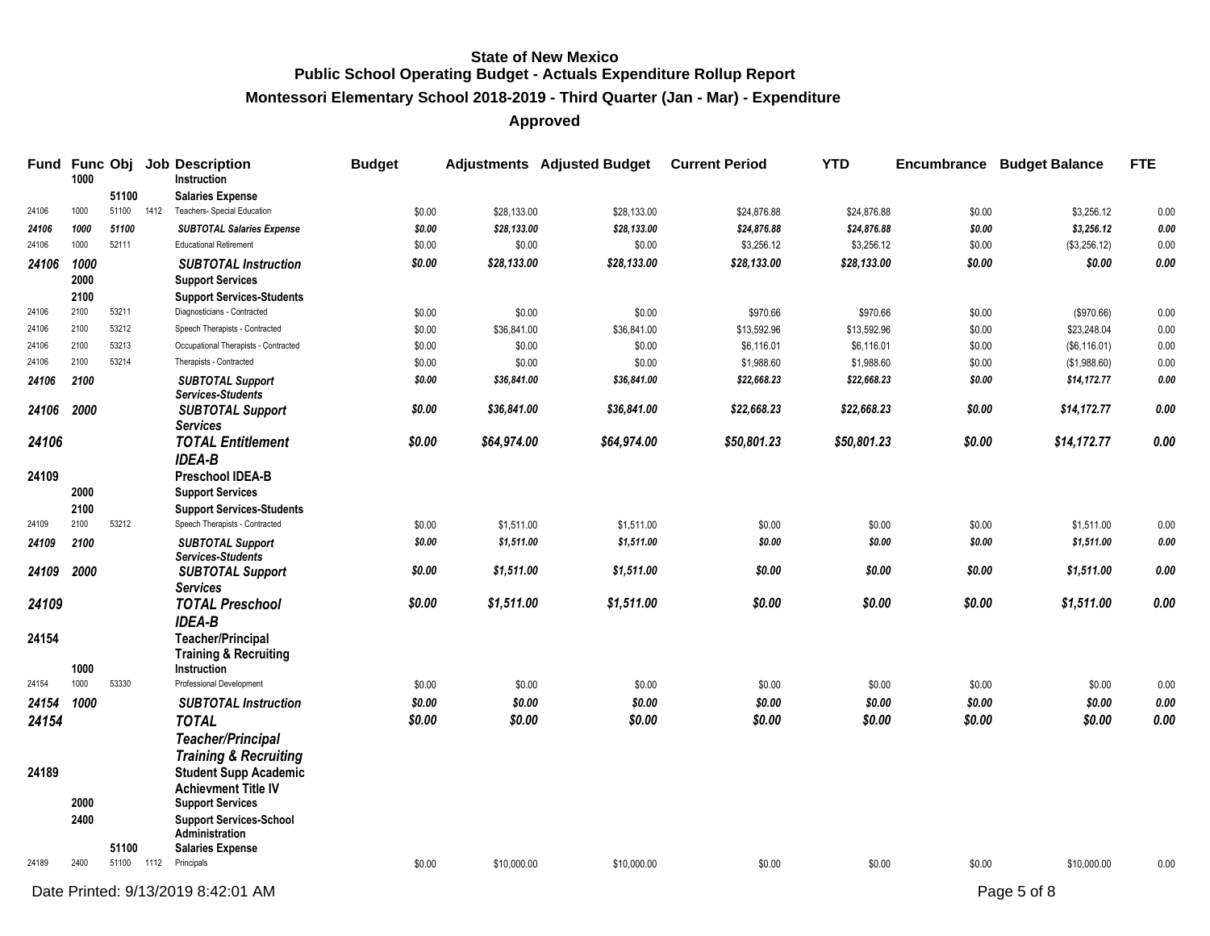**Montessori Elementary School 2018-2019 - Third Quarter (Jan - Mar) - Expenditure**

| Fund  | 1000         |       |      | Func Obj Job Description<br>Instruction                      | <b>Budget</b> |             | <b>Adjustments</b> Adjusted Budget | <b>Current Period</b> | <b>YTD</b>  |        | <b>Encumbrance Budget Balance</b> | <b>FTE</b> |
|-------|--------------|-------|------|--------------------------------------------------------------|---------------|-------------|------------------------------------|-----------------------|-------------|--------|-----------------------------------|------------|
|       |              | 51100 |      | <b>Salaries Expense</b>                                      |               |             |                                    |                       |             |        |                                   |            |
| 24106 | 1000         | 51100 | 1412 | Teachers- Special Education                                  | \$0.00        | \$28,133.00 | \$28,133.00                        | \$24,876.88           | \$24,876.88 | \$0.00 | \$3,256.12                        | 0.00       |
| 24106 | 1000         | 51100 |      | <b>SUBTOTAL Salaries Expense</b>                             | \$0.00        | \$28,133.00 | \$28,133.00                        | \$24,876.88           | \$24,876.88 | \$0.00 | \$3,256.12                        | 0.00       |
| 24106 | 1000         | 52111 |      | <b>Educational Retirement</b>                                | \$0.00        | \$0.00      | \$0.00                             | \$3,256.12            | \$3,256.12  | \$0.00 | (\$3,256.12)                      | 0.00       |
| 24106 | 1000<br>2000 |       |      | <b>SUBTOTAL Instruction</b><br><b>Support Services</b>       | \$0.00        | \$28,133.00 | \$28,133.00                        | \$28,133.00           | \$28,133.00 | \$0.00 | \$0.00                            | $0.00\,$   |
|       | 2100         |       |      | <b>Support Services-Students</b>                             |               |             |                                    |                       |             |        |                                   |            |
| 24106 | 2100         | 53211 |      | Diagnosticians - Contracted                                  | \$0.00        | \$0.00      | \$0.00                             | \$970.66              | \$970.66    | \$0.00 | (\$970.66)                        | 0.00       |
| 24106 | 2100         | 53212 |      | Speech Therapists - Contracted                               | \$0.00        | \$36,841.00 | \$36,841.00                        | \$13,592.96           | \$13,592.96 | \$0.00 | \$23,248.04                       | 0.00       |
| 24106 | 2100         | 53213 |      | Occupational Therapists - Contracted                         | \$0.00        | \$0.00      | \$0.00                             | \$6,116.01            | \$6,116.01  | \$0.00 | (\$6,116.01)                      | 0.00       |
| 24106 | 2100         | 53214 |      | Therapists - Contracted                                      | \$0.00        | \$0.00      | \$0.00                             | \$1,988.60            | \$1,988.60  | \$0.00 | (\$1,988.60)                      | 0.00       |
| 24106 | 2100         |       |      | <b>SUBTOTAL Support</b><br><b>Services-Students</b>          | \$0.00        | \$36,841.00 | \$36,841.00                        | \$22,668.23           | \$22,668.23 | \$0.00 | \$14,172.77                       | 0.00       |
| 24106 | 2000         |       |      | <b>SUBTOTAL Support</b><br>Services                          | \$0.00        | \$36,841.00 | \$36,841.00                        | \$22,668.23           | \$22,668.23 | \$0.00 | \$14,172.77                       | 0.00       |
| 24106 |              |       |      | <b>TOTAL Entitlement</b><br><b>IDEA-B</b>                    | \$0.00        | \$64,974.00 | \$64,974.00                        | \$50,801.23           | \$50,801.23 | \$0.00 | \$14,172.77                       | 0.00       |
| 24109 | 2000         |       |      | Preschool IDEA-B<br><b>Support Services</b>                  |               |             |                                    |                       |             |        |                                   |            |
|       | 2100         |       |      | <b>Support Services-Students</b>                             |               |             |                                    |                       |             |        |                                   |            |
| 24109 | 2100         | 53212 |      | Speech Therapists - Contracted                               | \$0.00        | \$1,511.00  | \$1,511.00                         | \$0.00                | \$0.00      | \$0.00 | \$1,511.00                        | 0.00       |
| 24109 | 2100         |       |      | <b>SUBTOTAL Support</b><br><b>Services-Students</b>          | \$0.00        | \$1,511.00  | \$1,511.00                         | \$0.00                | \$0.00      | \$0.00 | \$1,511.00                        | 0.00       |
| 24109 | 2000         |       |      | <b>SUBTOTAL Support</b><br><b>Services</b>                   | \$0.00        | \$1,511.00  | \$1,511.00                         | \$0.00                | \$0.00      | \$0.00 | \$1,511.00                        | 0.00       |
| 24109 |              |       |      | <b>TOTAL Preschool</b><br><b>IDEA-B</b>                      | \$0.00        | \$1,511.00  | \$1,511.00                         | \$0.00                | \$0.00      | \$0.00 | \$1,511.00                        | 0.00       |
| 24154 |              |       |      | <b>Teacher/Principal</b><br><b>Training &amp; Recruiting</b> |               |             |                                    |                       |             |        |                                   |            |
|       | 1000         |       |      | Instruction                                                  |               |             |                                    |                       |             |        |                                   |            |
| 24154 | 1000         | 53330 |      | Professional Development                                     | \$0.00        | \$0.00      | \$0.00                             | \$0.00                | \$0.00      | \$0.00 | \$0.00                            | $0.00\,$   |
| 24154 | 1000         |       |      | <b>SUBTOTAL Instruction</b>                                  | \$0.00        | \$0.00      | \$0.00                             | \$0.00                | \$0.00      | \$0.00 | \$0.00                            | 0.00       |
| 24154 |              |       |      | <b>TOTAL</b>                                                 | \$0.00        | \$0.00      | \$0.00                             | \$0.00                | \$0.00      | \$0.00 | \$0.00                            | 0.00       |
|       |              |       |      | <b>Teacher/Principal</b>                                     |               |             |                                    |                       |             |        |                                   |            |
|       |              |       |      | <b>Training &amp; Recruiting</b>                             |               |             |                                    |                       |             |        |                                   |            |
| 24189 |              |       |      | <b>Student Supp Academic</b><br><b>Achievment Title IV</b>   |               |             |                                    |                       |             |        |                                   |            |
|       | 2000         |       |      | <b>Support Services</b>                                      |               |             |                                    |                       |             |        |                                   |            |
|       | 2400         |       |      | <b>Support Services-School</b><br><b>Administration</b>      |               |             |                                    |                       |             |        |                                   |            |
|       |              | 51100 |      | <b>Salaries Expense</b>                                      |               |             |                                    |                       |             |        |                                   |            |
| 24189 | 2400         | 51100 | 1112 | Principals                                                   | \$0.00        | \$10,000.00 | \$10,000.00                        | \$0.00                | \$0.00      | \$0.00 | \$10,000.00                       | 0.00       |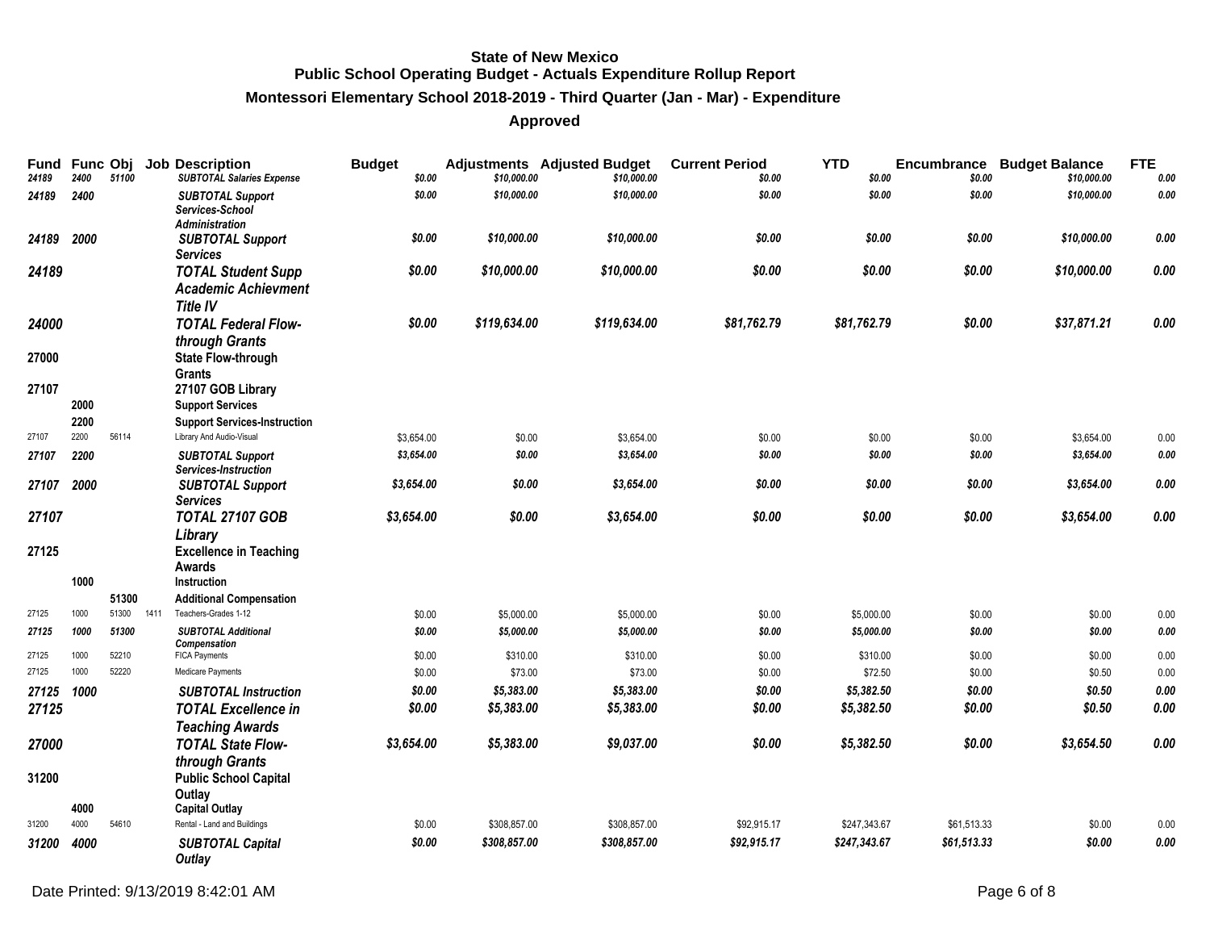# **Montessori Elementary School 2018-2019 - Third Quarter (Jan - Mar) - Expenditure**

| Fund<br>24189 | Func Obj<br>2400 | 51100         | <b>Job Description</b><br><b>SUBTOTAL Salaries Expense</b>                        | <b>Budget</b><br>\$0.00 | \$10,000.00  | <b>Adjustments</b> Adjusted Budget<br>\$10,000.00 | <b>Current Period</b><br>\$0.00 | <b>YTD</b><br>\$0.00 | Encumbrance<br>\$0.00 | <b>Budget Balance</b><br>\$10,000.00 | <b>FTE</b><br>0.00 |
|---------------|------------------|---------------|-----------------------------------------------------------------------------------|-------------------------|--------------|---------------------------------------------------|---------------------------------|----------------------|-----------------------|--------------------------------------|--------------------|
| 24189         | 2400             |               | <b>SUBTOTAL Support</b><br>Services-School<br>Administration                      | \$0.00                  | \$10,000.00  | \$10,000.00                                       | \$0.00                          | \$0.00               | \$0.00                | \$10,000.00                          | 0.00               |
| 24189         | 2000             |               | <b>SUBTOTAL Support</b><br><b>Services</b>                                        | \$0.00                  | \$10,000.00  | \$10,000.00                                       | \$0.00                          | \$0.00               | \$0.00                | \$10,000.00                          | 0.00               |
| 24189         |                  |               | <b>TOTAL Student Supp</b><br><b>Academic Achievment</b><br><b>Title IV</b>        | \$0.00                  | \$10,000.00  | \$10,000.00                                       | \$0.00                          | \$0.00               | \$0.00                | \$10,000.00                          | 0.00               |
| 24000         |                  |               | <b>TOTAL Federal Flow-</b><br>through Grants                                      | \$0.00                  | \$119,634.00 | \$119,634.00                                      | \$81,762.79                     | \$81,762.79          | \$0.00                | \$37,871.21                          | 0.00               |
| 27000         |                  |               | State Flow-through<br><b>Grants</b>                                               |                         |              |                                                   |                                 |                      |                       |                                      |                    |
| 27107         | 2000<br>2200     |               | 27107 GOB Library<br><b>Support Services</b>                                      |                         |              |                                                   |                                 |                      |                       |                                      |                    |
| 27107         | 2200             | 56114         | <b>Support Services-Instruction</b><br>Library And Audio-Visual                   | \$3,654.00              | \$0.00       | \$3,654.00                                        | \$0.00                          | \$0.00               | \$0.00                | \$3,654.00                           | 0.00               |
| 27107         | 2200             |               | <b>SUBTOTAL Support</b>                                                           | \$3,654.00              | \$0.00       | \$3,654.00                                        | \$0.00                          | \$0.00               | \$0.00                | \$3,654.00                           | 0.00               |
| 27107         | 2000             |               | Services-Instruction<br><b>SUBTOTAL Support</b><br><b>Services</b>                | \$3,654.00              | \$0.00       | \$3,654.00                                        | \$0.00                          | \$0.00               | \$0.00                | \$3,654.00                           | 0.00               |
| 27107         |                  |               | <b>TOTAL 27107 GOB</b>                                                            | \$3,654.00              | \$0.00       | \$3,654.00                                        | \$0.00                          | \$0.00               | \$0.00                | \$3,654.00                           | 0.00               |
| 27125         | 1000             |               | Library<br><b>Excellence in Teaching</b><br>Awards<br>Instruction                 |                         |              |                                                   |                                 |                      |                       |                                      |                    |
|               |                  | 51300         | <b>Additional Compensation</b>                                                    |                         |              |                                                   |                                 |                      |                       |                                      |                    |
| 27125         | 1000             | 51300<br>1411 | Teachers-Grades 1-12                                                              | \$0.00                  | \$5,000.00   | \$5,000.00                                        | \$0.00                          | \$5,000.00           | \$0.00                | \$0.00                               | 0.00               |
| 27125         | 1000             | 51300         | <b>SUBTOTAL Additional</b>                                                        | \$0.00                  | \$5,000.00   | \$5,000.00                                        | \$0.00                          | \$5,000.00           | \$0.00                | \$0.00                               | 0.00               |
| 27125         | 1000             | 52210         | Compensation<br><b>FICA Payments</b>                                              | \$0.00                  | \$310.00     | \$310.00                                          | \$0.00                          | \$310.00             | \$0.00                | \$0.00                               | 0.00               |
| 27125         | 1000             | 52220         | Medicare Payments                                                                 | \$0.00                  | \$73.00      | \$73.00                                           | \$0.00                          | \$72.50              | \$0.00                | \$0.50                               | 0.00               |
| 27125         | 1000             |               | <b>SUBTOTAL Instruction</b>                                                       | \$0.00                  | \$5,383.00   | \$5,383.00                                        | \$0.00                          | \$5,382.50           | \$0.00                | \$0.50                               | 0.00               |
| 27125         |                  |               | <b>TOTAL Excellence in</b>                                                        | \$0.00                  | \$5,383.00   | \$5,383.00                                        | \$0.00                          | \$5,382.50           | \$0.00                | \$0.50                               | 0.00               |
|               |                  |               | <b>Teaching Awards</b>                                                            |                         |              |                                                   |                                 |                      |                       |                                      |                    |
| 27000         |                  |               | <b>TOTAL State Flow-</b>                                                          | \$3,654.00              | \$5,383.00   | \$9,037.00                                        | \$0.00                          | \$5,382.50           | \$0.00                | \$3,654.50                           | 0.00               |
| 31200         | 4000             |               | through Grants<br><b>Public School Capital</b><br>Outlay<br><b>Capital Outlay</b> |                         |              |                                                   |                                 |                      |                       |                                      |                    |
| 31200         | 4000             | 54610         | Rental - Land and Buildings                                                       | \$0.00                  | \$308,857.00 | \$308,857.00                                      | \$92,915.17                     | \$247,343.67         | \$61,513.33           | \$0.00                               | 0.00               |
| 31200         | 4000             |               | <b>SUBTOTAL Capital</b>                                                           | \$0.00                  | \$308,857.00 | \$308,857.00                                      | \$92,915.17                     | \$247,343.67         | \$61,513.33           | \$0.00                               | 0.00               |
|               |                  |               | Outlay                                                                            |                         |              |                                                   |                                 |                      |                       |                                      |                    |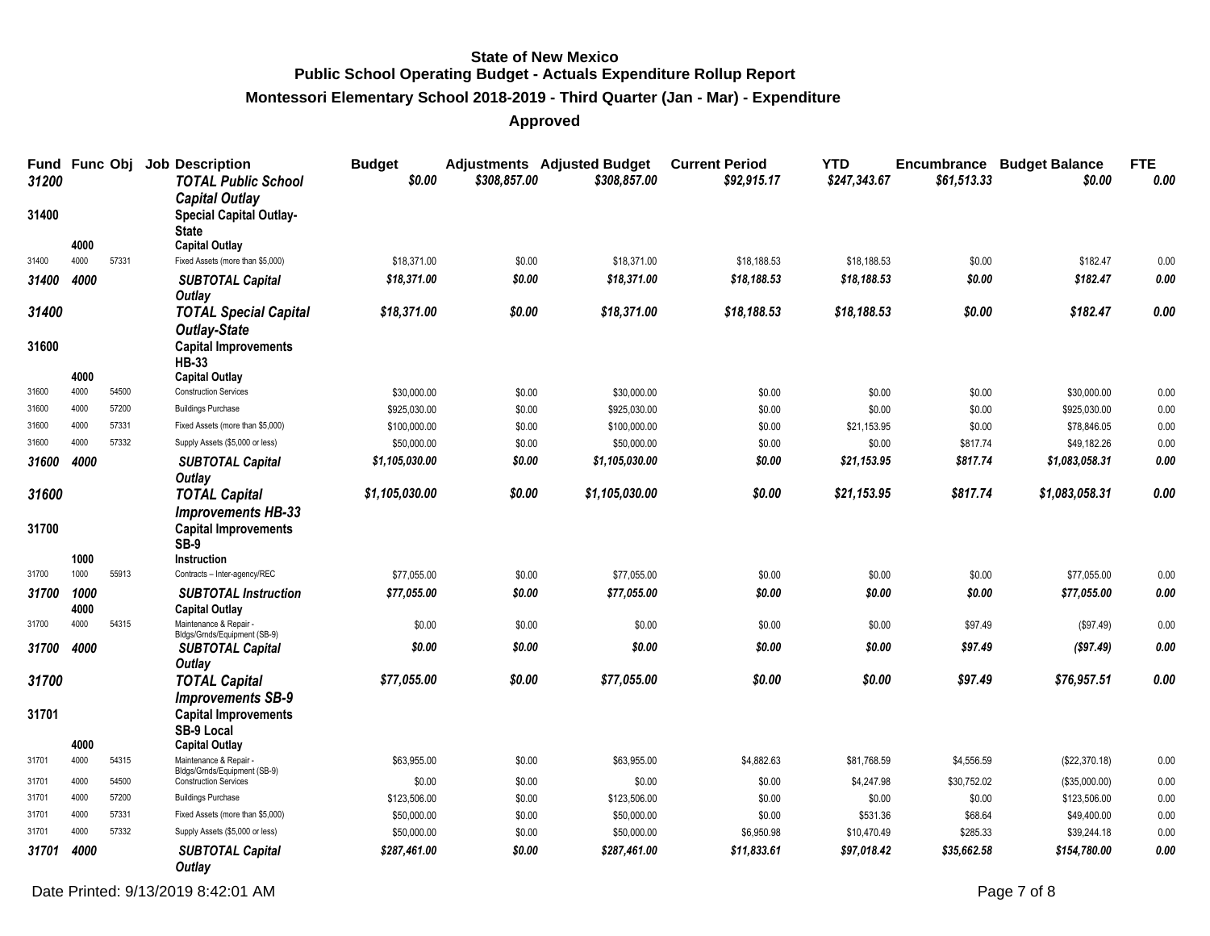#### **Montessori Elementary School 2018-2019 - Third Quarter (Jan - Mar) - Expenditure**

**Approved**

| Fund Func Obj<br>31200 |              |                | <b>Job Description</b><br><b>TOTAL Public School</b>                    | <b>Budget</b><br>\$0.00      | \$308,857.00     | <b>Adjustments</b> Adjusted Budget<br>\$308,857.00 | <b>Current Period</b><br>\$92,915.17 | <b>YTD</b><br>\$247,343.67 | \$61,513.33      | <b>Encumbrance Budget Balance</b><br>\$0.00 | <b>FTE</b><br>0.00 |
|------------------------|--------------|----------------|-------------------------------------------------------------------------|------------------------------|------------------|----------------------------------------------------|--------------------------------------|----------------------------|------------------|---------------------------------------------|--------------------|
| 31400                  |              |                | <b>Capital Outlay</b><br><b>Special Capital Outlay-</b><br><b>State</b> |                              |                  |                                                    |                                      |                            |                  |                                             |                    |
| 31400                  | 4000<br>4000 | 57331          | <b>Capital Outlay</b><br>Fixed Assets (more than \$5,000)               |                              |                  |                                                    |                                      |                            |                  |                                             |                    |
|                        |              |                |                                                                         | \$18,371.00                  | \$0.00           | \$18,371.00                                        | \$18,188.53                          | \$18,188.53                | \$0.00           | \$182.47                                    | 0.00<br>0.00       |
| 31400                  | 4000         |                | <b>SUBTOTAL Capital</b><br><b>Outlay</b>                                | \$18,371.00                  | \$0.00           | \$18,371.00                                        | \$18,188.53                          | \$18,188.53                | \$0.00           | \$182.47                                    |                    |
| 31400                  |              |                | <b>TOTAL Special Capital</b><br><b>Outlay-State</b>                     | \$18,371.00                  | \$0.00           | \$18,371.00                                        | \$18,188.53                          | \$18,188.53                | \$0.00           | \$182.47                                    | 0.00               |
| 31600                  |              |                | <b>Capital Improvements</b><br><b>HB-33</b>                             |                              |                  |                                                    |                                      |                            |                  |                                             |                    |
|                        | 4000         |                | <b>Capital Outlay</b>                                                   |                              |                  |                                                    |                                      |                            |                  |                                             |                    |
| 31600<br>31600         | 4000<br>4000 | 54500<br>57200 | <b>Construction Services</b><br><b>Buildings Purchase</b>               | \$30,000.00                  | \$0.00           | \$30,000.00                                        | \$0.00                               | \$0.00                     | \$0.00           | \$30,000.00                                 | 0.00               |
| 31600                  | 4000         | 57331          | Fixed Assets (more than \$5,000)                                        | \$925,030.00<br>\$100,000.00 | \$0.00<br>\$0.00 | \$925,030.00<br>\$100,000.00                       | \$0.00<br>\$0.00                     | \$0.00<br>\$21,153.95      | \$0.00<br>\$0.00 | \$925,030.00<br>\$78,846.05                 | 0.00<br>0.00       |
| 31600                  | 4000         | 57332          | Supply Assets (\$5,000 or less)                                         | \$50,000.00                  | \$0.00           | \$50,000.00                                        | \$0.00                               | \$0.00                     | \$817.74         | \$49,182.26                                 | 0.00               |
| 31600                  | 4000         |                | <b>SUBTOTAL Capital</b>                                                 | \$1,105,030.00               | \$0.00           | \$1,105,030.00                                     | \$0.00                               | \$21,153.95                | \$817.74         | \$1,083,058.31                              | $0.00\,$           |
|                        |              |                | Outlay                                                                  |                              |                  |                                                    |                                      |                            |                  |                                             |                    |
| 31600                  |              |                | <b>TOTAL Capital</b>                                                    | \$1,105,030.00               | \$0.00           | \$1,105,030.00                                     | \$0.00                               | \$21,153.95                | \$817.74         | \$1,083,058.31                              | 0.00               |
| 31700                  |              |                | <b>Improvements HB-33</b><br><b>Capital Improvements</b><br><b>SB-9</b> |                              |                  |                                                    |                                      |                            |                  |                                             |                    |
|                        | 1000         |                | Instruction                                                             |                              |                  |                                                    |                                      |                            |                  |                                             |                    |
| 31700                  | 1000         | 55913          | Contracts - Inter-agency/REC                                            | \$77,055.00                  | \$0.00           | \$77,055.00                                        | \$0.00                               | \$0.00                     | \$0.00           | \$77,055.00                                 | 0.00               |
| 31700                  | 1000<br>4000 |                | <b>SUBTOTAL Instruction</b><br><b>Capital Outlay</b>                    | \$77,055.00                  | \$0.00           | \$77,055.00                                        | \$0.00                               | \$0.00                     | \$0.00           | \$77,055.00                                 | $0.00\,$           |
| 31700                  | 4000         | 54315          | Maintenance & Repair -                                                  | \$0.00                       | \$0.00           | \$0.00                                             | \$0.00                               | \$0.00                     | \$97.49          | (\$97.49)                                   | 0.00               |
| 31700                  | 4000         |                | Bldgs/Grnds/Equipment (SB-9)<br><b>SUBTOTAL Capital</b>                 | \$0.00                       | \$0.00           | \$0.00                                             | \$0.00                               | \$0.00                     | \$97.49          | ( \$97.49)                                  | 0.00               |
| 31700                  |              |                | Outlay<br><b>TOTAL Capital</b>                                          | \$77,055.00                  | \$0.00           | \$77,055.00                                        | \$0.00                               | \$0.00                     | \$97.49          | \$76,957.51                                 | 0.00               |
|                        |              |                | <b>Improvements SB-9</b>                                                |                              |                  |                                                    |                                      |                            |                  |                                             |                    |
| 31701                  |              |                | <b>Capital Improvements</b><br><b>SB-9 Local</b>                        |                              |                  |                                                    |                                      |                            |                  |                                             |                    |
|                        | 4000         |                | <b>Capital Outlay</b>                                                   |                              |                  |                                                    |                                      |                            |                  |                                             |                    |
| 31701                  | 4000         | 54315          | Maintenance & Repair<br>Bldgs/Grnds/Equipment (SB-9)                    | \$63,955.00                  | \$0.00           | \$63,955.00                                        | \$4,882.63                           | \$81,768.59                | \$4,556.59       | (\$22,370.18)                               | 0.00               |
| 31701                  | 4000         | 54500          | <b>Construction Services</b>                                            | \$0.00                       | \$0.00           | \$0.00                                             | \$0.00                               | \$4,247.98                 | \$30,752.02      | (\$35,000.00)                               | 0.00               |
| 31701                  | 4000         | 57200          | <b>Buildings Purchase</b>                                               | \$123,506.00                 | \$0.00           | \$123,506.00                                       | \$0.00                               | \$0.00                     | \$0.00           | \$123,506.00                                | 0.00               |
| 31701                  | 4000         | 57331          | Fixed Assets (more than \$5,000)                                        | \$50,000.00                  | \$0.00           | \$50,000.00                                        | \$0.00                               | \$531.36                   | \$68.64          | \$49,400.00                                 | 0.00               |
| 31701                  | 4000         | 57332          | Supply Assets (\$5,000 or less)                                         | \$50,000.00                  | \$0.00           | \$50,000.00                                        | \$6,950.98                           | \$10,470.49                | \$285.33         | \$39,244.18                                 | 0.00               |
| 31701                  | 4000         |                | <b>SUBTOTAL Capital</b><br><b>Outlay</b>                                | \$287,461.00                 | \$0.00           | \$287,461.00                                       | \$11,833.61                          | \$97,018.42                | \$35,662.58      | \$154,780.00                                | 0.00               |

Date Printed: 9/13/2019 8:42:01 AM Page 7 of 8